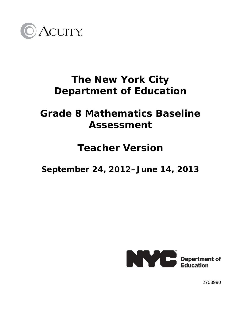

# **The New York City Department of Education**

# **Grade 8 Mathematics Baseline Assessment**

## **Teacher Version**

**September 24, 2012–June 14, 2013** 



2703990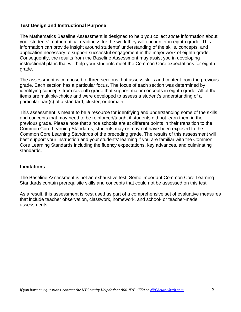#### **Test Design and Instructional Purpose**

The Mathematics Baseline Assessment is designed to help you collect *some* information about your students' mathematical readiness for the work they will encounter in eighth grade. This information can provide insight around students' understanding of the skills, concepts, and application necessary to support successful engagement in the major work of eighth grade. Consequently, the results from the Baseline Assessment may assist you in developing instructional plans that will help your students meet the Common Core expectations for eighth grade.

The assessment is composed of three sections that assess skills and content from the previous grade. Each section has a particular focus. The focus of each section was determined by identifying concepts from seventh grade that support major concepts in eighth grade. All of the items are multiple-choice and were developed to assess a student's understanding of a particular part(s) of a standard, cluster, or domain.

This assessment is meant to be a resource for identifying and understanding some of the skills and concepts that may need to be reinforced/taught if students did not learn them in the previous grade. Please note that since schools are at different points in their transition to the Common Core Learning Standards, students may or may not have been exposed to the Common Core Learning Standards of the preceding grade. The results of this assessment will best support your instruction and your students' learning if you are familiar with the Common Core Learning Standards including the fluency expectations, key advances, and culminating standards.

### **Limitations**

The Baseline Assessment is not an exhaustive test. Some important Common Core Learning Standards contain prerequisite skills and concepts that could not be assessed on this test.

As a result, this assessment is best used as part of a comprehensive set of evaluative measures that include teacher observation, classwork, homework, and school- or teacher-made assessments.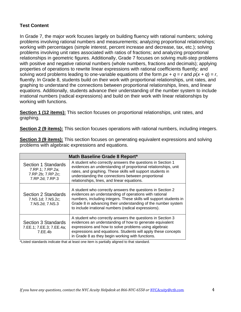### **Test Content**

In Grade 7, the major work focuses largely on building fluency with rational numbers; solving problems involving rational numbers and measurements; analyzing proportional relationships; working with percentages (simple interest, percent increase and decrease, tax, etc.); solving problems involving unit rates associated with ratios of fractions; and analyzing proportional relationships in geometric figures. Additionally, Grade 7 focuses on solving multi-step problems with positive and negative rational numbers (whole numbers, fractions and decimals); applying properties of operations to rewrite linear expressions with rational coefficients fluently; and solving word problems leading to one-variable equations of the form  $px + q = r$  and  $p(x + q) = r$ , fluently. In Grade 8, students build on their work with proportional relationships, unit rates, and graphing to understand the connections between proportional relationships, lines, and linear equations. Additionally, students advance their understanding of the number system to include irrational numbers (radical expressions) and build on their work with linear relationships by working with functions.

**Section 1 (12 items):** This section focuses on proportional relationships, unit rates, and graphing.

**Section 2 (9 items):** This section focuses operations with rational numbers, including integers.

| Math Baseline Grade 8 Report*                                                   |                                                                                                                                                                                                                                                                                                                     |  |  |
|---------------------------------------------------------------------------------|---------------------------------------------------------------------------------------------------------------------------------------------------------------------------------------------------------------------------------------------------------------------------------------------------------------------|--|--|
| Section 1 Standards<br>7.RP.1; 7.RP.2a;<br>7.RP.2b; 7.RP.2c;<br>7.RP.2d; 7.RP.3 | A student who correctly answers the questions in Section 1<br>evidences an understanding of proportional relationships, unit<br>rates, and graphing. These skills will support students in<br>understanding the connections between proportional<br>relationships, lines, and linear equations.                     |  |  |
| Section 2 Standards<br>7.NS.1d; 7.NS.2c;<br>7.NS.2d; 7.NS.3                     | A student who correctly answers the questions in Section 2<br>evidences an understanding of operations with rational<br>numbers, including integers. These skills will support students in<br>Grade 8 in advancing their understanding of the number system<br>to include irrational numbers (radical expressions). |  |  |
| Section 3 Standards<br>7.EE.1; 7.EE.3; 7.EE.4a;<br>7.EE.4b                      | A student who correctly answers the questions in Section 3<br>evidences an understanding of how to generate equivalent<br>expressions and how to solve problems using algebraic<br>expressions and equations. Students will apply these concepts<br>in Grade 8 as they begin working with functions.                |  |  |

**Section 3 (9 items):** This section focuses on generating equivalent expressions and solving problems with algebraic expressions and equations.

\*Listed standards indicate that at least one item is partially aligned to that standard.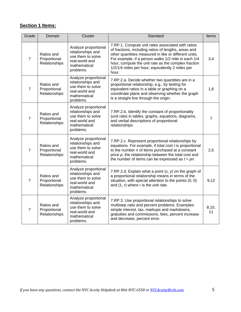## **Section 1 Items:**

| Grade          | Domain                                      | Cluster                                                                                                       | Standard                                                                                                                                                                                                                                                                                                                                      | Items          |
|----------------|---------------------------------------------|---------------------------------------------------------------------------------------------------------------|-----------------------------------------------------------------------------------------------------------------------------------------------------------------------------------------------------------------------------------------------------------------------------------------------------------------------------------------------|----------------|
| $\overline{7}$ | Ratios and<br>Proportional<br>Relationships | Analyze proportional<br>relationships and<br>use them to solve<br>real-world and<br>mathematical<br>problems. | 7.RP.1. Compute unit rates associated with ratios<br>of fractions, including ratios of lengths, areas and<br>other quantities measured in like or different units.<br>For example, if a person walks 1/2 mile in each 1/4<br>hour, compute the unit rate as the complex fraction<br>1/2/1/4 miles per hour, equivalently 2 miles per<br>hour. | 3,4            |
| $\overline{7}$ | Ratios and<br>Proportional<br>Relationships | Analyze proportional<br>relationships and<br>use them to solve<br>real-world and<br>mathematical<br>problems. | 7.RP.2.a. Decide whether two quantities are in a<br>proportional relationship, e.g., by testing for<br>equivalent ratios in a table or graphing on a<br>coordinate plane and observing whether the graph<br>is a straight line through the origin.                                                                                            | 1,6            |
| $\overline{7}$ | Ratios and<br>Proportional<br>Relationships | Analyze proportional<br>relationships and<br>use them to solve<br>real-world and<br>mathematical<br>problems. | 7.RP.2.b. Identify the constant of proportionality<br>(unit rate) in tables, graphs, equations, diagrams,<br>and verbal descriptions of proportional<br>relationships.                                                                                                                                                                        | $\overline{7}$ |
| $\overline{7}$ | Ratios and<br>Proportional<br>Relationships | Analyze proportional<br>relationships and<br>use them to solve<br>real-world and<br>mathematical<br>problems. | 7.RP.2.c. Represent proportional relationships by<br>equations. For example, if total cost $t$ is proportional<br>to the number $n$ of items purchased at a constant<br>price $p$ , the relationship between the total cost and<br>the number of items can be expressed as $t = pn$ .                                                         | 2,5            |
| $\overline{7}$ | Ratios and<br>Proportional<br>Relationships | Analyze proportional<br>relationships and<br>use them to solve<br>real-world and<br>mathematical<br>problems. | 7.RP.2.d. Explain what a point $(x, y)$ on the graph of<br>a proportional relationship means in terms of the<br>situation, with special attention to the points (0, 0)<br>and $(1, r)$ where r is the unit rate.                                                                                                                              | 9,12           |
| $\overline{7}$ | Ratios and<br>Proportional<br>Relationships | Analyze proportional<br>relationships and<br>use them to solve<br>real-world and<br>mathematical<br>problems. | 7.RP.3. Use proportional relationships to solve<br>multistep ratio and percent problems. Examples:<br>simple interest, tax, markups and markdowns,<br>gratuities and commissions, fees, percent increase<br>and decrease, percent error.                                                                                                      | 8,10,<br>11    |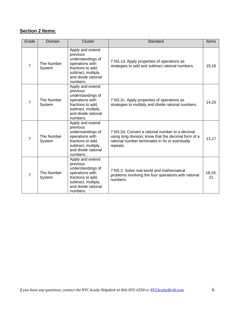### **Section 2 Items:**

| Grade          | Domain               | Cluster                                                                                                                                             | Standard                                                                                                                                                              | Items        |
|----------------|----------------------|-----------------------------------------------------------------------------------------------------------------------------------------------------|-----------------------------------------------------------------------------------------------------------------------------------------------------------------------|--------------|
| $\overline{7}$ | The Number<br>System | Apply and extend<br>previous<br>understandings of<br>operations with<br>fractions to add,<br>subtract, multiply,<br>and divide rational<br>numbers. | 7.NS.1d. Apply properties of operations as<br>strategies to add and subtract rational numbers.                                                                        | 15,16        |
| $\overline{7}$ | The Number<br>System | Apply and extend<br>previous<br>understandings of<br>operations with<br>fractions to add,<br>subtract, multiply,<br>and divide rational<br>numbers. | 7.NS.2c. Apply properties of operations as<br>strategies to multiply and divide rational numbers.                                                                     | 14,20        |
| $\overline{7}$ | The Number<br>System | Apply and extend<br>previous<br>understandings of<br>operations with<br>fractions to add,<br>subtract, multiply,<br>and divide rational<br>numbers. | 7.NS.2d. Convert a rational number to a decimal<br>using long division; know that the decimal form of a<br>rational number terminates in 0s or eventually<br>repeats. | 13,17        |
| 7              | The Number<br>System | Apply and extend<br>previous<br>understandings of<br>operations with<br>fractions to add,<br>subtract, multiply,<br>and divide rational<br>numbers. | 7.NS.3. Solve real-world and mathematical<br>problems involving the four operations with rational<br>numbers.                                                         | 18,19,<br>21 |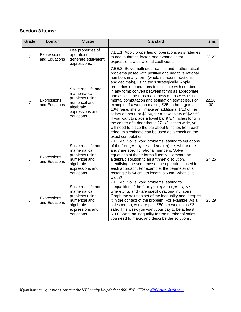### **Section 3 Items:**

| Grade          | Domain                       | Cluster                                                                                                              | Standard                                                                                                                                                                                                                                                                                                                                                                                                                                                                                                                                                                                                                                                                                                                                                                                                                                                | Items        |
|----------------|------------------------------|----------------------------------------------------------------------------------------------------------------------|---------------------------------------------------------------------------------------------------------------------------------------------------------------------------------------------------------------------------------------------------------------------------------------------------------------------------------------------------------------------------------------------------------------------------------------------------------------------------------------------------------------------------------------------------------------------------------------------------------------------------------------------------------------------------------------------------------------------------------------------------------------------------------------------------------------------------------------------------------|--------------|
| $\overline{7}$ | Expressions<br>and Equations | Use properties of<br>operations to<br>generate equivalent<br>expressions.                                            | 7.EE.1. Apply properties of operations as strategies<br>to add, subtract, factor, and expand linear<br>expressions with rational coefficients.                                                                                                                                                                                                                                                                                                                                                                                                                                                                                                                                                                                                                                                                                                          | 23,27        |
| $\overline{7}$ | Expressions<br>and Equations | Solve real-life and<br>mathematical<br>problems using<br>numerical and<br>algebraic<br>expressions and<br>equations. | 7.EE.3. Solve multi-step real-life and mathematical<br>problems posed with positive and negative rational<br>numbers in any form (whole numbers, fractions,<br>and decimals), using tools strategically. Apply<br>properties of operations to calculate with numbers<br>in any form; convert between forms as appropriate;<br>and assess the reasonableness of answers using<br>mental computation and estimation strategies. For<br>example: If a woman making \$25 an hour gets a<br>10% raise, she will make an additional 1/10 of her<br>salary an hour, or \$2.50, for a new salary of \$27.50.<br>If you want to place a towel bar 9 3/4 inches long in<br>the center of a door that is 27 1/2 inches wide, you<br>will need to place the bar about 9 inches from each<br>edge; this estimate can be used as a check on the<br>exact computation. | 22,26,<br>30 |
| $\overline{7}$ | Expressions<br>and Equations | Solve real-life and<br>mathematical<br>problems using<br>numerical and<br>algebraic<br>expressions and<br>equations. | 7.EE.4a. Solve word problems leading to equations<br>of the form $px + q = r$ and $p(x + q) = r$ , where p, q,<br>and r are specific rational numbers. Solve<br>equations of these forms fluently. Compare an<br>algebraic solution to an arithmetic solution,<br>identifying the sequence of the operations used in<br>each approach. For example, the perimeter of a<br>rectangle is 54 cm. Its length is 6 cm. What is its<br>width?                                                                                                                                                                                                                                                                                                                                                                                                                 | 24,25        |
| $\overline{7}$ | Expressions<br>and Equations | Solve real-life and<br>mathematical<br>problems using<br>numerical and<br>algebraic<br>expressions and<br>equations. | 7.EE.4b. Solve word problems leading to<br>inequalities of the form $px + q > r$ or $px + q < r$ ,<br>where $p$ , $q$ , and $r$ are specific rational numbers.<br>Graph the solution set of the inequality and interpret<br>it in the context of the problem. For example: As a<br>salesperson, you are paid \$50 per week plus \$3 per<br>sale. This week you want your pay to be at least<br>\$100. Write an inequality for the number of sales<br>you need to make, and describe the solutions.                                                                                                                                                                                                                                                                                                                                                      | 28,29        |